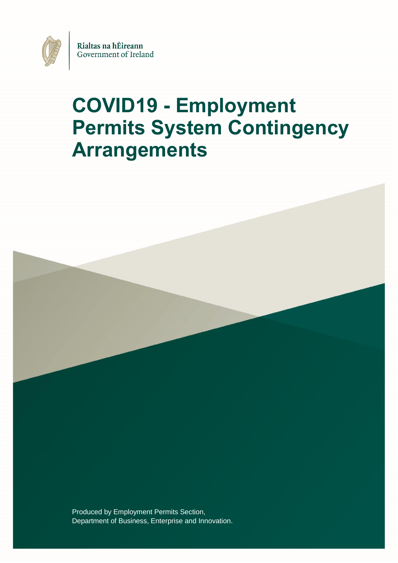

# **COVID19 - Employment Permits System Contingency Arrangements**

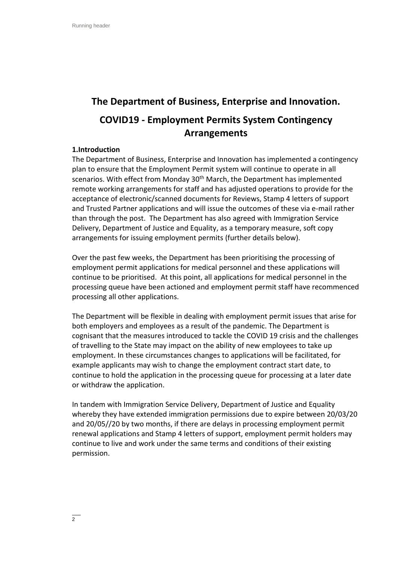# **The Department of Business, Enterprise and Innovation. COVID19 - Employment Permits System Contingency Arrangements**

#### **1.Introduction**

The Department of Business, Enterprise and Innovation has implemented a contingency plan to ensure that the Employment Permit system will continue to operate in all scenarios. With effect from Monday 30<sup>th</sup> March, the Department has implemented remote working arrangements for staff and has adjusted operations to provide for the acceptance of electronic/scanned documents for Reviews, Stamp 4 letters of support and Trusted Partner applications and will issue the outcomes of these via e-mail rather than through the post. The Department has also agreed with Immigration Service Delivery, Department of Justice and Equality, as a temporary measure, soft copy arrangements for issuing employment permits (further details below).

Over the past few weeks, the Department has been prioritising the processing of employment permit applications for medical personnel and these applications will continue to be prioritised. At this point, all applications for medical personnel in the processing queue have been actioned and employment permit staff have recommenced processing all other applications.

The Department will be flexible in dealing with employment permit issues that arise for both employers and employees as a result of the pandemic. The Department is cognisant that the measures introduced to tackle the COVID 19 crisis and the challenges of travelling to the State may impact on the ability of new employees to take up employment. In these circumstances changes to applications will be facilitated, for example applicants may wish to change the employment contract start date, to continue to hold the application in the processing queue for processing at a later date or withdraw the application.

In tandem with Immigration Service Delivery, Department of Justice and Equality whereby they have extended immigration permissions due to expire between 20/03/20 and 20/05//20 by two months, if there are delays in processing employment permit renewal applications and Stamp 4 letters of support, employment permit holders may continue to live and work under the same terms and conditions of their existing permission.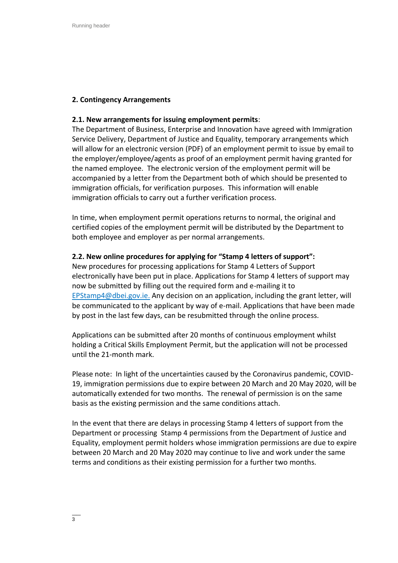# **2. Contingency Arrangements**

# **2.1. New arrangements for issuing employment permits**:

The Department of Business, Enterprise and Innovation have agreed with Immigration Service Delivery, Department of Justice and Equality, temporary arrangements which will allow for an electronic version (PDF) of an employment permit to issue by email to the employer/employee/agents as proof of an employment permit having granted for the named employee. The electronic version of the employment permit will be accompanied by a letter from the Department both of which should be presented to immigration officials, for verification purposes. This information will enable immigration officials to carry out a further verification process.

In time, when employment permit operations returns to normal, the original and certified copies of the employment permit will be distributed by the Department to both employee and employer as per normal arrangements.

# **2.2. New online procedures for applying for "Stamp 4 letters of support":**

New procedures for processing applications for Stamp 4 Letters of Support electronically have been put in place. Applications for Stamp 4 letters of support may now be submitted by filling out the required form and e-mailing it to [EPStamp4@dbei.gov.ie.](mailto:EPStamp4@dbei.gov.ie) Any decision on an application, including the grant letter, will be communicated to the applicant by way of e-mail. Applications that have been made by post in the last few days, can be resubmitted through the online process.

Applications can be submitted after 20 months of continuous employment whilst holding a Critical Skills Employment Permit, but the application will not be processed until the 21-month mark.

Please note: In light of the uncertainties caused by the Coronavirus pandemic, COVID-19, immigration permissions due to expire between 20 March and 20 May 2020, will be automatically extended for two months. The renewal of permission is on the same basis as the existing permission and the same conditions attach.

In the event that there are delays in processing Stamp 4 letters of support from the Department or processing Stamp 4 permissions from the Department of Justice and Equality, employment permit holders whose immigration permissions are due to expire between 20 March and 20 May 2020 may continue to live and work under the same terms and conditions as their existing permission for a further two months.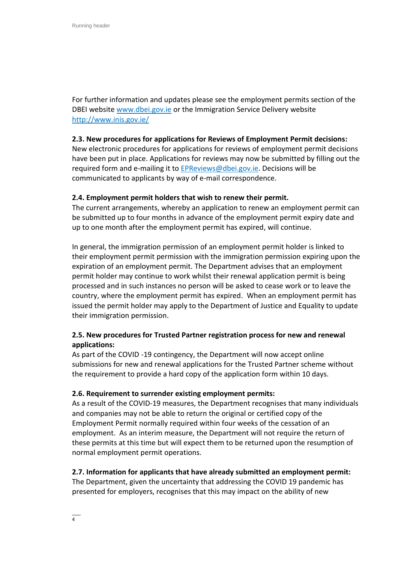For further information and updates please see the employment permits section of the DBEI website [www.dbei.gov.ie](http://www.dbei.gov.ie/) or the Immigration Service Delivery website <http://www.inis.gov.ie/>

# **2.3. New procedures for applications for Reviews of Employment Permit decisions:**

New electronic procedures for applications for reviews of employment permit decisions have been put in place. Applications for reviews may now be submitted by filling out the required form and e-mailing it to [EPReviews@dbei.gov.ie.](mailto:EPReviews@dbei.gov.ie) Decisions will be communicated to applicants by way of e-mail correspondence.

# **2.4. Employment permit holders that wish to renew their permit.**

The current arrangements, whereby an application to renew an employment permit can be submitted up to four months in advance of the employment permit expiry date and up to one month after the employment permit has expired, will continue.

In general, the immigration permission of an employment permit holder is linked to their employment permit permission with the immigration permission expiring upon the expiration of an employment permit. The Department advises that an employment permit holder may continue to work whilst their renewal application permit is being processed and in such instances no person will be asked to cease work or to leave the country, where the employment permit has expired. When an employment permit has issued the permit holder may apply to the Department of Justice and Equality to update their immigration permission.

# **2.5. New procedures for Trusted Partner registration process for new and renewal applications:**

As part of the COVID -19 contingency, the Department will now accept online submissions for new and renewal applications for the Trusted Partner scheme without the requirement to provide a hard copy of the application form within 10 days.

# **2.6. Requirement to surrender existing employment permits:**

As a result of the COVID-19 measures, the Department recognises that many individuals and companies may not be able to return the original or certified copy of the Employment Permit normally required within four weeks of the cessation of an employment. As an interim measure, the Department will not require the return of these permits at this time but will expect them to be returned upon the resumption of normal employment permit operations.

# **2.7. Information for applicants that have already submitted an employment permit:**

The Department, given the uncertainty that addressing the COVID 19 pandemic has presented for employers, recognises that this may impact on the ability of new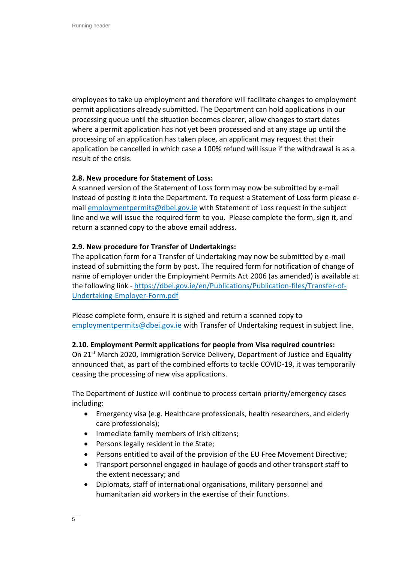employees to take up employment and therefore will facilitate changes to employment permit applications already submitted. The Department can hold applications in our processing queue until the situation becomes clearer, allow changes to start dates where a permit application has not yet been processed and at any stage up until the processing of an application has taken place, an applicant may request that their application be cancelled in which case a 100% refund will issue if the withdrawal is as a result of the crisis.

# **2.8. New procedure for Statement of Loss:**

A scanned version of the Statement of Loss form may now be submitted by e-mail instead of posting it into the Department. To request a Statement of Loss form please email [employmentpermits@dbei.gov.ie](mailto:employmentpermits@dbei.gov.ie) with Statement of Loss request in the subject line and we will issue the required form to you. Please complete the form, sign it, and return a scanned copy to the above email address.

#### **2.9. New procedure for Transfer of Undertakings:**

The application form for a Transfer of Undertaking may now be submitted by e-mail instead of submitting the form by post. The required form for notification of change of name of employer under the Employment Permits Act 2006 (as amended) is available at the following link - [https://dbei.gov.ie/en/Publications/Publication-files/Transfer-of-](https://dbei.gov.ie/en/Publications/Publication-files/Transfer-of-Undertaking-Employer-Form.pdf)[Undertaking-Employer-Form.pdf](https://dbei.gov.ie/en/Publications/Publication-files/Transfer-of-Undertaking-Employer-Form.pdf)

Please complete form, ensure it is signed and return a scanned copy to [employmentpermits@dbei.gov.ie](mailto:employmentpermits@dbei.gov.ie) with Transfer of Undertaking request in subject line.

#### **2.10. Employment Permit applications for people from Visa required countries:**

On 21<sup>st</sup> March 2020, Immigration Service Delivery, Department of Justice and Equality announced that, as part of the combined efforts to tackle COVID-19, it was temporarily ceasing the processing of new visa applications.

The Department of Justice will continue to process certain priority/emergency cases including:

- Emergency visa (e.g. Healthcare professionals, health researchers, and elderly care professionals);
- Immediate family members of Irish citizens;
- Persons legally resident in the State;
- Persons entitled to avail of the provision of the EU Free Movement Directive;
- Transport personnel engaged in haulage of goods and other transport staff to the extent necessary; and
- Diplomats, staff of international organisations, military personnel and humanitarian aid workers in the exercise of their functions.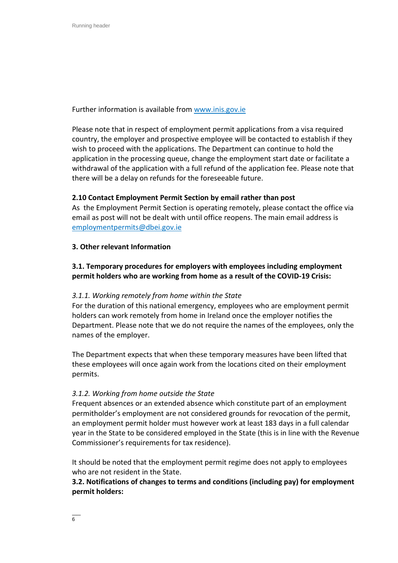Further information is available from [www.inis.gov.ie](http://www.inis.gov.ie/)

Please note that in respect of employment permit applications from a visa required country, the employer and prospective employee will be contacted to establish if they wish to proceed with the applications. The Department can continue to hold the application in the processing queue, change the employment start date or facilitate a withdrawal of the application with a full refund of the application fee. Please note that there will be a delay on refunds for the foreseeable future.

# **2.10 Contact Employment Permit Section by email rather than post**

As the Employment Permit Section is operating remotely, please contact the office via email as post will not be dealt with until office reopens. The main email address is [employmentpermits@dbei.gov.ie](mailto:employmentpermits@dbei.gov.ie)

# **3. Other relevant Information**

# **3.1. Temporary procedures for employers with employees including employment permit holders who are working from home as a result of the COVID-19 Crisis:**

# *3.1.1. Working remotely from home within the State*

For the duration of this national emergency, employees who are employment permit holders can work remotely from home in Ireland once the employer notifies the Department. Please note that we do not require the names of the employees, only the names of the employer.

The Department expects that when these temporary measures have been lifted that these employees will once again work from the locations cited on their employment permits.

# *3.1.2. Working from home outside the State*

Frequent absences or an extended absence which constitute part of an employment permitholder's employment are not considered grounds for revocation of the permit, an employment permit holder must however work at least 183 days in a full calendar year in the State to be considered employed in the State (this is in line with the Revenue Commissioner's requirements for tax residence).

It should be noted that the employment permit regime does not apply to employees who are not resident in the State.

# **3.2. Notifications of changes to terms and conditions (including pay) for employment permit holders:**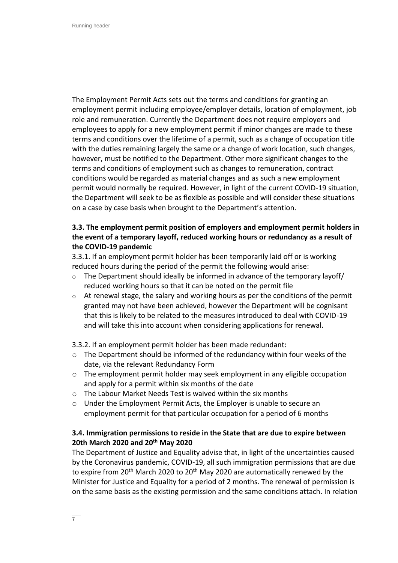The Employment Permit Acts sets out the terms and conditions for granting an employment permit including employee/employer details, location of employment, job role and remuneration. Currently the Department does not require employers and employees to apply for a new employment permit if minor changes are made to these terms and conditions over the lifetime of a permit, such as a change of occupation title with the duties remaining largely the same or a change of work location, such changes, however, must be notified to the Department. Other more significant changes to the terms and conditions of employment such as changes to remuneration, contract conditions would be regarded as material changes and as such a new employment permit would normally be required. However, in light of the current COVID-19 situation, the Department will seek to be as flexible as possible and will consider these situations on a case by case basis when brought to the Department's attention.

# **3.3. The employment permit position of employers and employment permit holders in the event of a temporary layoff, reduced working hours or redundancy as a result of the COVID-19 pandemic**

3.3.1. If an employment permit holder has been temporarily laid off or is working reduced hours during the period of the permit the following would arise:

- $\circ$  The Department should ideally be informed in advance of the temporary layoff/ reduced working hours so that it can be noted on the permit file
- o At renewal stage, the salary and working hours as per the conditions of the permit granted may not have been achieved, however the Department will be cognisant that this is likely to be related to the measures introduced to deal with COVID-19 and will take this into account when considering applications for renewal.

3.3.2. If an employment permit holder has been made redundant:

- $\circ$  The Department should be informed of the redundancy within four weeks of the date, via the relevant Redundancy Form
- $\circ$  The employment permit holder may seek employment in any eligible occupation and apply for a permit within six months of the date
- o The Labour Market Needs Test is waived within the six months
- o Under the Employment Permit Acts, the Employer is unable to secure an employment permit for that particular occupation for a period of 6 months

# **3.4. Immigration permissions to reside in the State that are due to expire between 20th March 2020 and 20th May 2020**

The Department of Justice and Equality advise that, in light of the uncertainties caused by the Coronavirus pandemic, COVID-19, all such immigration permissions that are due to expire from 20<sup>th</sup> March 2020 to 20<sup>th</sup> May 2020 are automatically renewed by the Minister for Justice and Equality for a period of 2 months. The renewal of permission is on the same basis as the existing permission and the same conditions attach. In relation